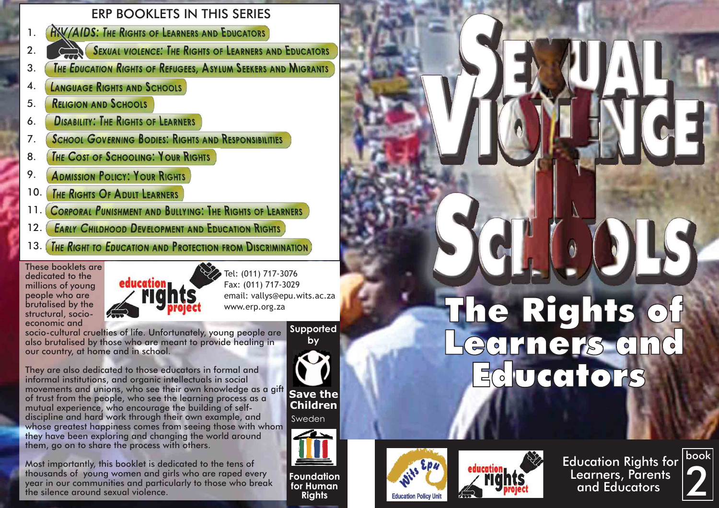### ERP BOOKLETS IN THIS SERIES

- **AXV/AIDS: THE RIGHTS OF LEARNERS AND EDUCATORS** 1.
- SEXUAL VIOLENCE: THE RIGHTS OF LEARNERS AND EDUCATORS 2.
- **THE EDUCATION RIGHTS OF REFUGEES. ASYLUM SEEKERS AND MIGRANTS** 3.
- **LANGUAGE RIGHTS AND SCHOOLS** 4.
- **RELIGION AND SCHOOLS** 5.
- **DISABILITY: THE RIGHTS OF LEARNERS** 6.
- **SCHOOL GOVERNING BODIES: RIGHTS AND RESPONSIBILITIES** 7.
- **THE COST OF SCHOOLING: YOUR RIGHTS** 8.
- **ADMISSION POLICY: YOUR RIGHTS** 9.
- **THE RIGHTS OF ADULT LEARNERS** 10.
- **CORPORAL PUNISHMENT AND BULLYING: THE RIGHTS OF LEARNERS** 11.
- **EARLY CHILDHOOD DEVELOPMENT AND EDUCATION RIGHTS** 12.
- 13. **THE RIGHT TO EDUCATION AND PROTECTION FROM DISCRIMINATION**

These booklets are dedicated to the millions of young people who are brutalised by the structural, socioeconomic and



Tel: (011) 717-3076 Fax: (011) 717-3029 email: vallys@epu.wits.ac.za www.erp.org.za

socio-cultural cruelties of life. Unfortunately, young people are also brutalised by those who are meant to provide healing in our country, at home and in school.

They are also dedicated to those educators in formal and informal institutions, and organic intellectuals in social movements and unions, who see their own knowledge as a gift of trust from the people, who see the learning process as a mutual experience, who encourage the building of selfdiscipline and hard work through their own example, and whose greatest happiness comes from seeing those with whom they have been exploring and changing the world around them, go on to share the process with others.

Most importantly, this booklet is dedicated to the tens of thousands of young women and girls who are raped every year in our communities and particularly to those who break the silence around sexual violence.

**Supported** 



**Save the Children**

Sweden



**Foundation for Human Rights**

### **Education Policy Unit**



Education Rights for Learners, Parents and Educators



## The Rights of Educators

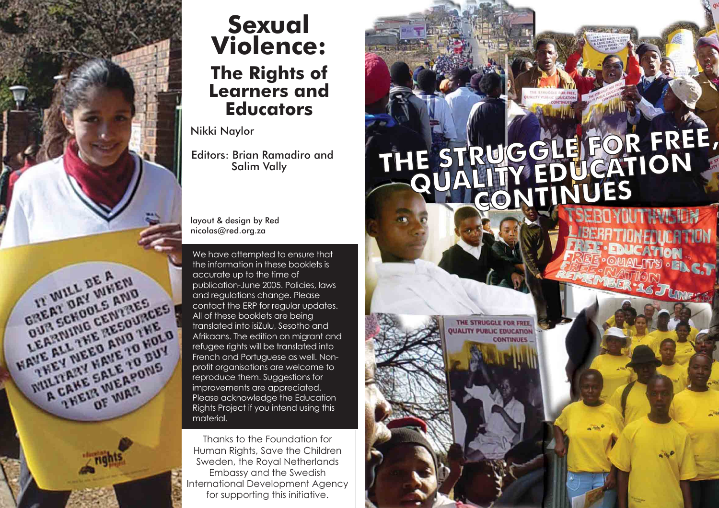

### **Sexual Violence: The Rights of Learners and Educators**

Nikki Naylor

Editors: Brian Ramadiro and Salim Vally

layout & design by Red nicolas@red.org.za

We have attempted to ensure that the information in these booklets is accurate up to the time of publication-June 2005. Policies, laws and regulations change. Please contact the ERP for regular updates. All of these booklets are being translated into isiZulu, Sesotho and refugee rights will be translated into French and Portuguese as well. Nonprofit organisations are welcome to reproduce them. Suggestions for improvements are appreciated. Please acknowledge the Education Rights Project if you intend using this material.

Thanks to the Foundation for Human Rights, Save the Children Sweden, the Royal Netherlands Embassy and the Swedish International Development Agency for supporting this initiative.

# **THE STRUGGLE FOR FREE, FREE, QUALITY EDUCATION CONTINUES**

THE STRUGGLE FOR FREE **UALITY PUBLIC EDUCATION** 

**CONTINUES**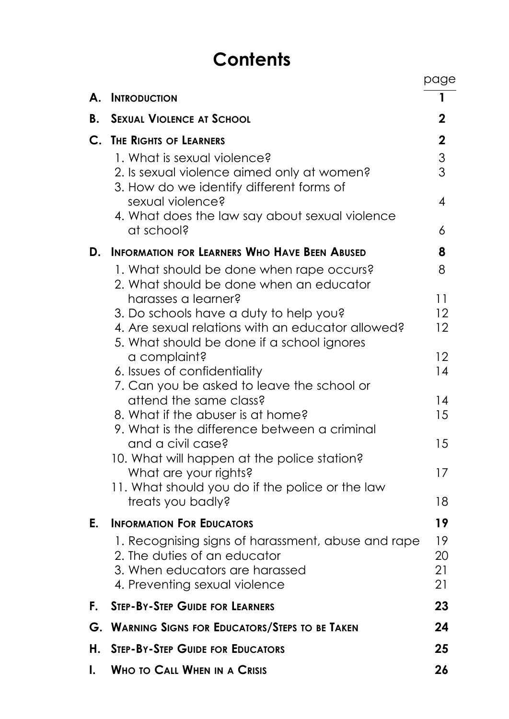### **Contents**

|    |                                                                                             | page           |
|----|---------------------------------------------------------------------------------------------|----------------|
| А. | <b>INTRODUCTION</b>                                                                         | 1              |
| В. | <b>SEXUAL VIOLENCE AT SCHOOL</b>                                                            | 2              |
| C. | <b>THE RIGHTS OF LEARNERS</b>                                                               | $\overline{2}$ |
|    | 1. What is sexual violence?                                                                 | 3              |
|    | 2. Is sexual violence aimed only at women?<br>3. How do we identify different forms of      | 3              |
|    | sexual violence?<br>4. What does the law say about sexual violence                          | 4              |
|    | at school?                                                                                  | 6              |
| D. | <b>INFORMATION FOR LEARNERS WHO HAVE BEEN ABUSED</b>                                        | 8              |
|    | 1. What should be done when rape occurs?<br>2. What should be done when an educator         | 8              |
|    | harasses a learner?                                                                         | 11             |
|    | 3. Do schools have a duty to help you?<br>4. Are sexual relations with an educator allowed? | 12<br>12       |
|    | 5. What should be done if a school ignores                                                  |                |
|    | a complaint?                                                                                | 12             |
|    | 6. Issues of confidentiality                                                                | 14             |
|    | 7. Can you be asked to leave the school or                                                  |                |
|    | attend the same class?<br>8. What if the abuser is at home?                                 | 14<br>15       |
|    | 9. What is the difference between a criminal                                                |                |
|    | and a civil case?                                                                           | 15             |
|    | 10. What will happen at the police station?                                                 |                |
|    | What are your rights?                                                                       | 17             |
|    | 11. What should you do if the police or the law                                             |                |
|    | treats you badly?                                                                           | 18             |
| Е. | <b>INFORMATION FOR EDUCATORS</b>                                                            | 19             |
|    | 1. Recognising signs of harassment, abuse and rape                                          | 19             |
|    | 2. The duties of an educator                                                                | 20             |
|    | 3. When educators are harassed                                                              | 21             |
|    | 4. Preventing sexual violence                                                               | 21             |
| F. | <b>STEP-BY-STEP GUIDE FOR LEARNERS</b>                                                      | 23             |
|    | <b>G. WARNING SIGNS FOR EDUCATORS/STEPS TO BE TAKEN</b>                                     | 24             |
| Η. | <b>STEP-BY-STEP GUIDE FOR EDUCATORS</b>                                                     | 25             |
| I. | <b>WHO TO CALL WHEN IN A CRISIS</b>                                                         | 26             |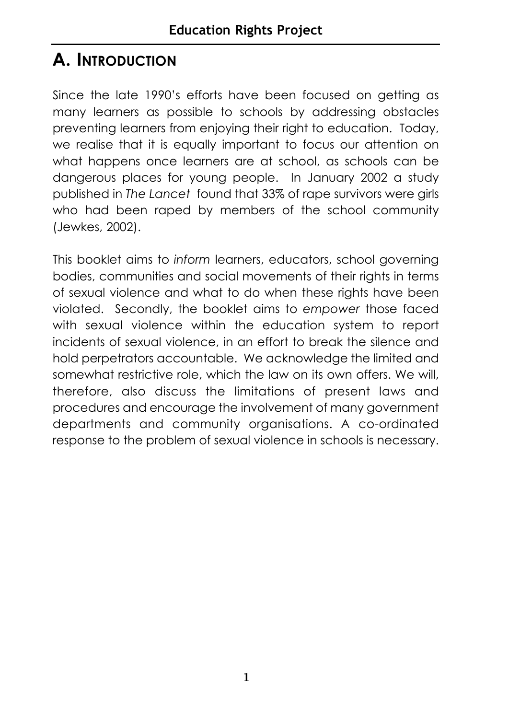### **A. INTRODUCTION**

Since the late 1990's efforts have been focused on getting as many learners as possible to schools by addressing obstacles preventing learners from enjoying their right to education. Today, we realise that it is equally important to focus our attention on what happens once learners are at school, as schools can be dangerous places for young people. In January 2002 a study published in *The Lancet* found that 33% of rape survivors were girls who had been raped by members of the school community (Jewkes, 2002).

This booklet aims to *inform* learners, educators, school governing bodies, communities and social movements of their rights in terms of sexual violence and what to do when these rights have been violated. Secondly, the booklet aims to *empower* those faced with sexual violence within the education system to report incidents of sexual violence, in an effort to break the silence and hold perpetrators accountable. We acknowledge the limited and somewhat restrictive role, which the law on its own offers. We will, therefore, also discuss the limitations of present laws and procedures and encourage the involvement of many government departments and community organisations. A co-ordinated response to the problem of sexual violence in schools is necessary.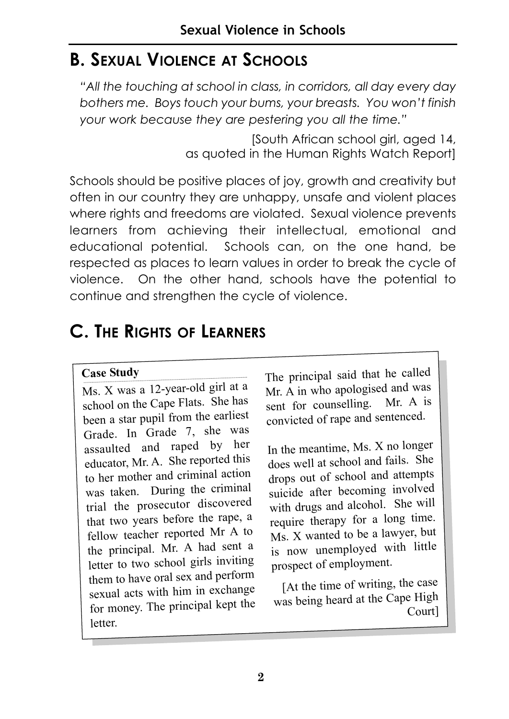### **B. SEXUAL VIOLENCE AT SCHOOLS**

*"All the touching at school in class, in corridors, all day every day bothers me. Boys touch your bums, your breasts. You won't finish your work because they are pestering you all the time."* 

> [South African school girl, aged 14, as quoted in the Human Rights Watch Report]

Schools should be positive places of joy, growth and creativity but often in our country they are unhappy, unsafe and violent places where rights and freedoms are violated. Sexual violence prevents learners from achieving their intellectual, emotional and educational potential. Schools can, on the one hand, be respected as places to learn values in order to break the cycle of violence. On the other hand, schools have the potential to continue and strengthen the cycle of violence.

### **C. THE RIGHTS OF LEARNERS**

### **Case Study**

Ms. X was a 12-year-old girl at a school on the Cape Flats. She has been a star pupil from the earliest Grade. In Grade 7, she was assaulted and raped by her educator, Mr. A. She reported this to her mother and criminal action was taken. During the criminal trial the prosecutor discovered that two years before the rape, a fellow teacher reported Mr A to the principal. Mr. A had sent a letter to two school girls inviting them to have oral sex and perform sexual acts with him in exchange for money. The principal kept the letter.

The principal said that he called Mr. A in who apologised and was sent for counselling. Mr. A is convicted of rape and sentenced.

In the meantime, Ms. X no longer does well at school and fails. She drops out of school and attempts suicide after becoming involved with drugs and alcohol. She will require therapy for a long time. Ms. X wanted to be a lawyer, but is now unemployed with little prospect of employment.

[At the time of writing, the case was being heard at the Cape High Court]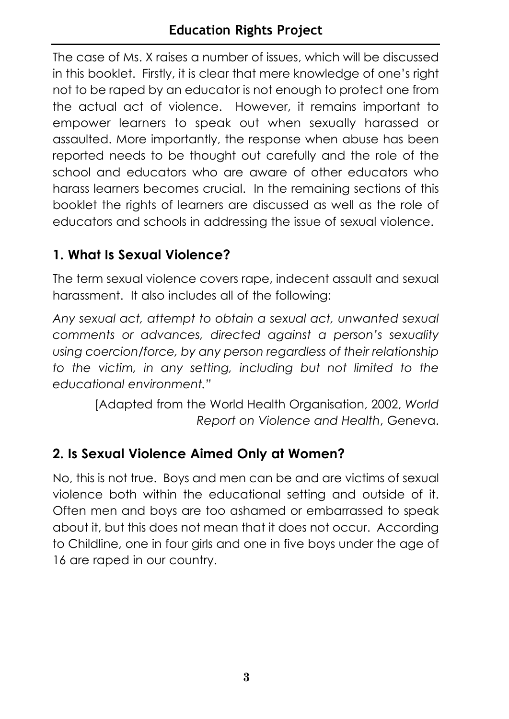The case of Ms. X raises a number of issues, which will be discussed in this booklet. Firstly, it is clear that mere knowledge of one's right not to be raped by an educator is not enough to protect one from the actual act of violence. However, it remains important to empower learners to speak out when sexually harassed or assaulted. More importantly, the response when abuse has been reported needs to be thought out carefully and the role of the school and educators who are aware of other educators who harass learners becomes crucial. In the remaining sections of this booklet the rights of learners are discussed as well as the role of educators and schools in addressing the issue of sexual violence.

### **1. What Is Sexual Violence?**

The term sexual violence covers rape, indecent assault and sexual harassment. It also includes all of the following:

*Any sexual act, attempt to obtain a sexual act, unwanted sexual comments or advances, directed against a person's sexuality using coercion/force, by any person regardless of their relationship to the victim, in any setting, including but not limited to the educational environment."* 

> [Adapted from the World Health Organisation, 2002, *World Report on Violence and Health*, Geneva.

### **2. Is Sexual Violence Aimed Only at Women?**

No, this is not true. Boys and men can be and are victims of sexual violence both within the educational setting and outside of it. Often men and boys are too ashamed or embarrassed to speak about it, but this does not mean that it does not occur. According to Childline, one in four girls and one in five boys under the age of 16 are raped in our country.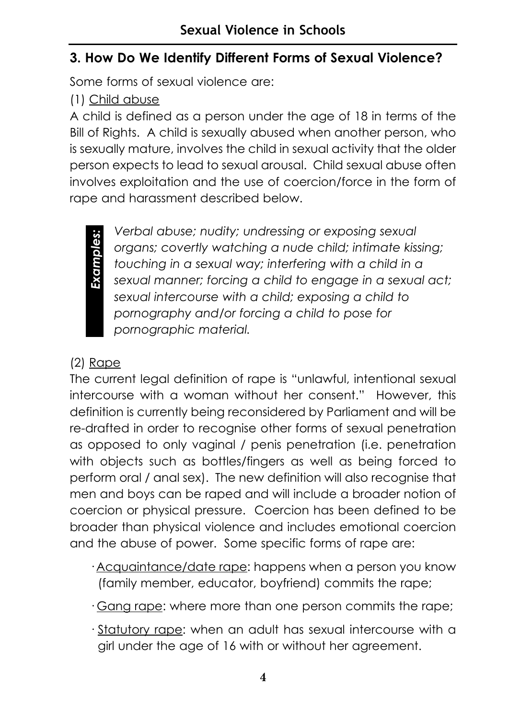### **3. How Do We Identify Different Forms of Sexual Violence?**

Some forms of sexual violence are:

### (1) Child abuse

A child is defined as a person under the age of 18 in terms of the Bill of Rights. A child is sexually abused when another person, who is sexually mature, involves the child in sexual activity that the older person expects to lead to sexual arousal. Child sexual abuse often involves exploitation and the use of coercion/force in the form of rape and harassment described below.



*Verbal abuse; nudity; undressing or exposing sexual organs; covertly watching a nude child; intimate kissing; touching in a sexual way; interfering with a child in a sexual manner; forcing a child to engage in a sexual act; sexual intercourse with a child; exposing a child to pornography and/or forcing a child to pose for pornographic material.* 

### (2) Rape

The current legal definition of rape is "unlawful, intentional sexual intercourse with a woman without her consent." However, this definition is currently being reconsidered by Parliament and will be re-drafted in order to recognise other forms of sexual penetration as opposed to only vaginal / penis penetration (i.e. penetration with objects such as bottles/fingers as well as being forced to perform oral / anal sex). The new definition will also recognise that men and boys can be raped and will include a broader notion of coercion or physical pressure. Coercion has been defined to be broader than physical violence and includes emotional coercion and the abuse of power. Some specific forms of rape are:

- · Acquaintance/date rape: happens when a person you know (family member, educator, boyfriend) commits the rape;
- · Gang rape: where more than one person commits the rape;
- · Statutory rape: when an adult has sexual intercourse with a girl under the age of 16 with or without her agreement.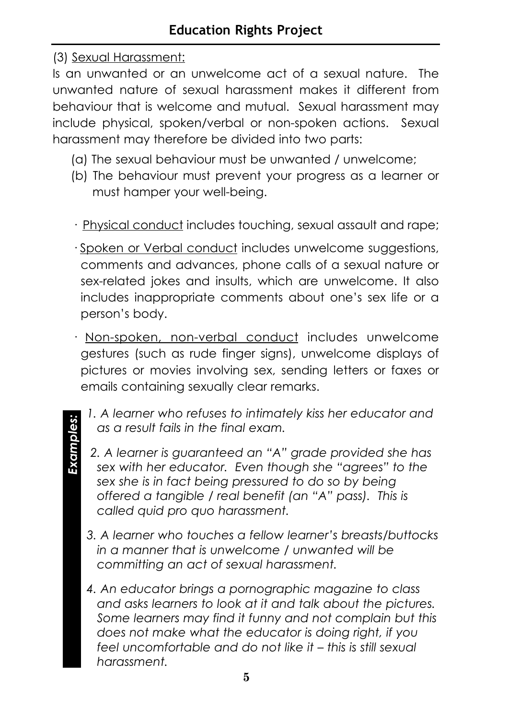### (3) Sexual Harassment:

*Examples:* Examples:

Is an unwanted or an unwelcome act of a sexual nature. The unwanted nature of sexual harassment makes it different from behaviour that is welcome and mutual. Sexual harassment may include physical, spoken/verbal or non-spoken actions. Sexual harassment may therefore be divided into two parts:

- (a) The sexual behaviour must be unwanted / unwelcome;
- (b) The behaviour must prevent your progress as a learner or must hamper your well-being.
- · Physical conduct includes touching, sexual assault and rape;
- · Spoken or Verbal conduct includes unwelcome suggestions, comments and advances, phone calls of a sexual nature or sex-related jokes and insults, which are unwelcome. It also includes inappropriate comments about one's sex life or a person's body.
- · Non-spoken, non-verbal conduct includes unwelcome gestures (such as rude finger signs), unwelcome displays of pictures or movies involving sex, sending letters or faxes or emails containing sexually clear remarks.
	- *1. A learner who refuses to intimately kiss her educator and as a result fails in the final exam.*
	- *2. A learner is guaranteed an "A" grade provided she has sex with her educator. Even though she "agrees" to the sex she is in fact being pressured to do so by being offered a tangible / real benefit (an "A" pass). This is called quid pro quo harassment.*
	- *3. A learner who touches a fellow learner's breasts/buttocks in a manner that is unwelcome / unwanted will be committing an act of sexual harassment.*
	- *4. An educator brings a pornographic magazine to class and asks learners to look at it and talk about the pictures. Some learners may find it funny and not complain but this does not make what the educator is doing right, if you feel uncomfortable and do not like it – this is still sexual harassment.*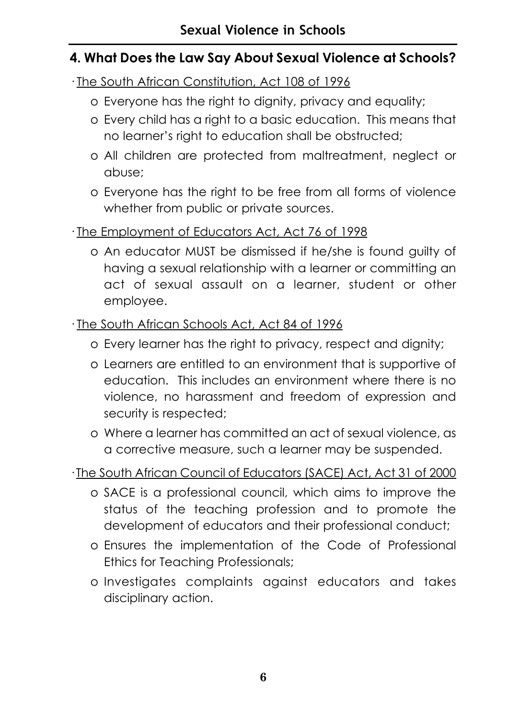### **4. What Does the Law Say About Sexual Violence at Schools?**

- · The South African Constitution, Act 108 of 1996
	- o Everyone has the right to dignity, privacy and equality;
	- o Every child has a right to a basic education. This means that no learner's right to education shall be obstructed;
	- o All children are protected from maltreatment, neglect or abuse;
	- o Everyone has the right to be free from all forms of violence whether from public or private sources.

### · The Employment of Educators Act, Act 76 of 1998

o An educator MUST be dismissed if he/she is found guilty of having a sexual relationship with a learner or committing an act of sexual assault on a learner, student or other employee.

### · The South African Schools Act, Act 84 of 1996

- o Every learner has the right to privacy, respect and dignity;
- o Learners are entitled to an environment that is supportive of education. This includes an environment where there is no violence, no harassment and freedom of expression and security is respected;
- o Where a learner has committed an act of sexual violence, as a corrective measure, such a learner may be suspended.

### · The South African Council of Educators (SACE) Act, Act 31 of 2000

- o SACE is a professional council, which aims to improve the status of the teaching profession and to promote the development of educators and their professional conduct;
- o Ensures the implementation of the Code of Professional Ethics for Teaching Professionals;
- o Investigates complaints against educators and takes disciplinary action.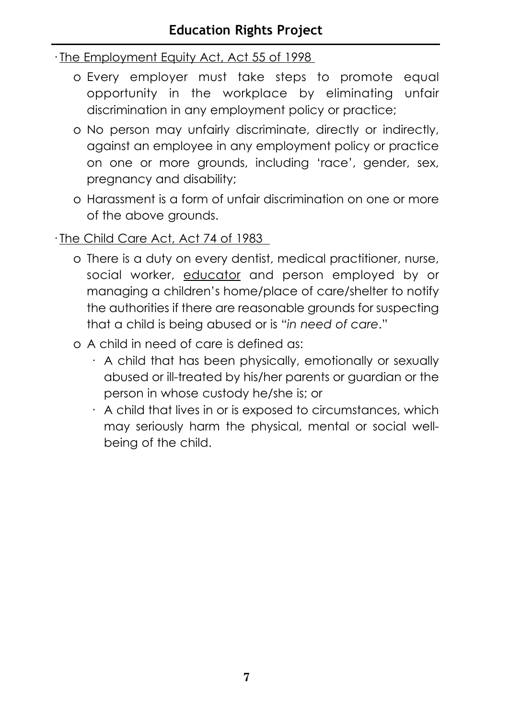### · The Employment Equity Act, Act 55 of 1998

- o Every employer must take steps to promote equal opportunity in the workplace by eliminating unfair discrimination in any employment policy or practice;
- o No person may unfairly discriminate, directly or indirectly, against an employee in any employment policy or practice on one or more grounds, including 'race', gender, sex, pregnancy and disability;
- o Harassment is a form of unfair discrimination on one or more of the above grounds.

### · The Child Care Act, Act 74 of 1983

- o There is a duty on every dentist, medical practitioner, nurse, social worker, educator and person employed by or managing a children's home/place of care/shelter to notify the authorities if there are reasonable grounds for suspecting that a child is being abused or is "*in need of care*."
- o A child in need of care is defined as:
	- · A child that has been physically, emotionally or sexually abused or ill-treated by his/her parents or guardian or the person in whose custody he/she is; or
	- · A child that lives in or is exposed to circumstances, which may seriously harm the physical, mental or social wellbeing of the child.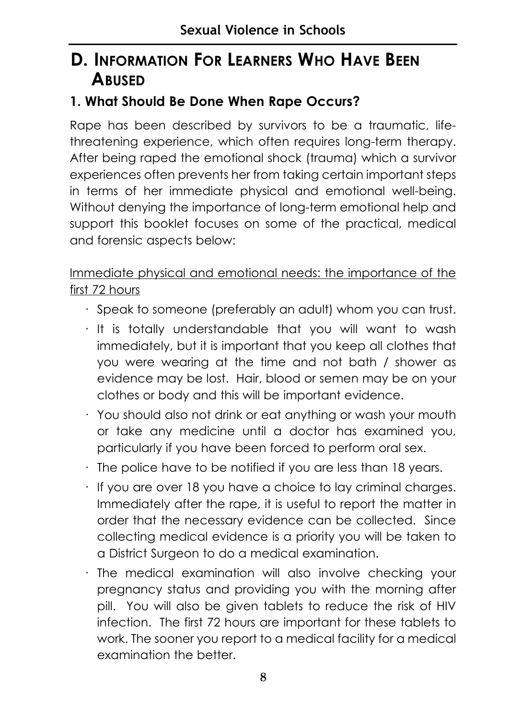### **D. INFORMATION FOR LEARNERS WHO HAVE BEEN ABUSED**

### **1. What Should Be Done When Rape Occurs?**

Rape has been described by survivors to be a traumatic, lifethreatening experience, which often requires long-term therapy. After being raped the emotional shock (trauma) which a survivor experiences often prevents her from taking certain important steps in terms of her immediate physical and emotional well-being. Without denying the importance of long-term emotional help and support this booklet focuses on some of the practical, medical and forensic aspects below:

### Immediate physical and emotional needs: the importance of the first 72 hours

- · Speak to someone (preferably an adult) whom you can trust.
- · It is totally understandable that you will want to wash immediately, but it is important that you keep all clothes that you were wearing at the time and not bath / shower as evidence may be lost. Hair, blood or semen may be on your clothes or body and this will be important evidence.
- · You should also not drink or eat anything or wash your mouth or take any medicine until a doctor has examined you, particularly if you have been forced to perform oral sex.
- · The police have to be notified if you are less than 18 years.
- · If you are over 18 you have a choice to lay criminal charges. Immediately after the rape, it is useful to report the matter in order that the necessary evidence can be collected. Since collecting medical evidence is a priority you will be taken to a District Surgeon to do a medical examination.
- · The medical examination will also involve checking your pregnancy status and providing you with the morning after pill. You will also be given tablets to reduce the risk of HIV infection. The first 72 hours are important for these tablets to work. The sooner you report to a medical facility for a medical examination the better.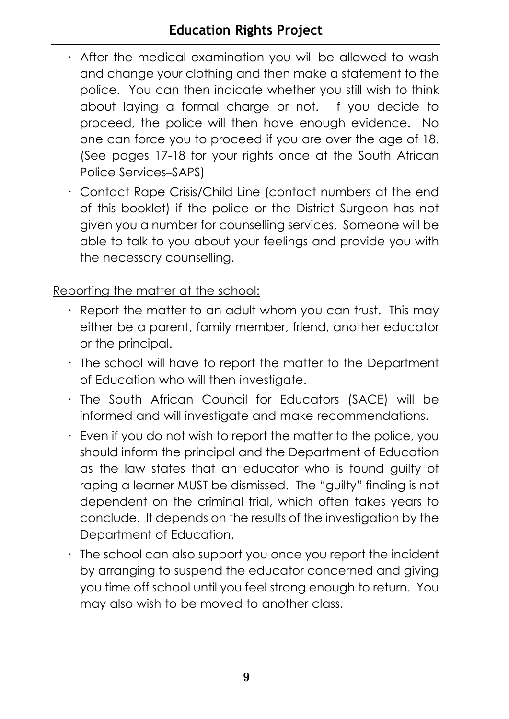### **Education Rights Project**

- · After the medical examination you will be allowed to wash and change your clothing and then make a statement to the police. You can then indicate whether you still wish to think about laying a formal charge or not. If you decide to proceed, the police will then have enough evidence. No one can force you to proceed if you are over the age of 18. (See pages 17-18 for your rights once at the South African Police Services–SAPS)
- · Contact Rape Crisis/Child Line (contact numbers at the end of this booklet) if the police or the District Surgeon has not given you a number for counselling services. Someone will be able to talk to you about your feelings and provide you with the necessary counselling.

Reporting the matter at the school:

- · Report the matter to an adult whom you can trust. This may either be a parent, family member, friend, another educator or the principal.
- · The school will have to report the matter to the Department of Education who will then investigate.
- · The South African Council for Educators (SACE) will be informed and will investigate and make recommendations.
- · Even if you do not wish to report the matter to the police, you should inform the principal and the Department of Education as the law states that an educator who is found guilty of raping a learner MUST be dismissed. The "guilty" finding is not dependent on the criminal trial, which often takes years to conclude. It depends on the results of the investigation by the Department of Education.
- $\cdot$  The school can also support you once you report the incident by arranging to suspend the educator concerned and giving you time off school until you feel strong enough to return. You may also wish to be moved to another class.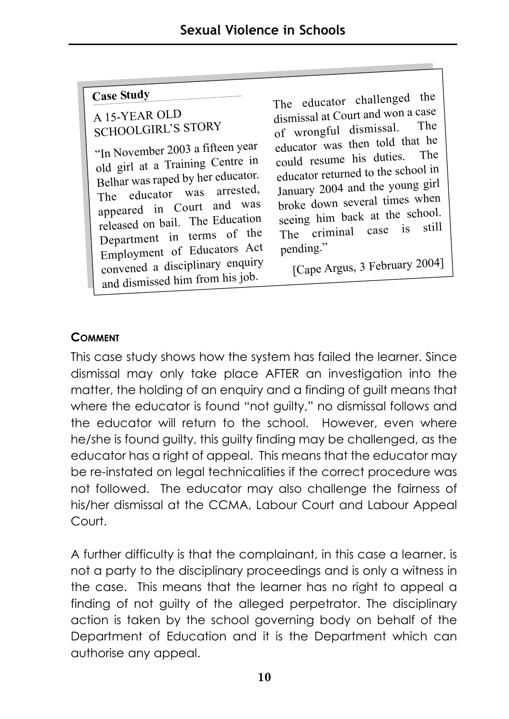### **Case Study**

### <sup>A</sup> 15-YEAR OLD SCHOOLGIRL'S STORY

"In November 2003 a fifteen year old girl at a Training Centre in Belhar was raped by her educator. The educator was arrested, appeared in Court and was released on bail. The Education Department in terms of the Employment of Educators Act convened a disciplinary enquiry and dismissed him from his job.

The educator challenged the dismissal at Court and won a case of wrongful dismissal. educator was then told that he could resume his duties. educator returned to the school in January 2004 and the young girl broke down several times when seeing him back at the school. The criminal case is still pending."

[Cape Argus, 3 February 2004]

### **COMMENT**

This case study shows how the system has failed the learner. Since dismissal may only take place AFTER an investigation into the matter, the holding of an enquiry and a finding of guilt means that where the educator is found "not guilty," no dismissal follows and the educator will return to the school. However, even where he/she is found guilty, this guilty finding may be challenged, as the educator has a right of appeal. This means that the educator may be re-instated on legal technicalities if the correct procedure was not followed. The educator may also challenge the fairness of his/her dismissal at the CCMA, Labour Court and Labour Appeal Court.

A further difficulty is that the complainant, in this case a learner, is not a party to the disciplinary proceedings and is only a witness in the case. This means that the learner has no right to appeal a finding of not guilty of the alleged perpetrator. The disciplinary action is taken by the school governing body on behalf of the Department of Education and it is the Department which can authorise any appeal.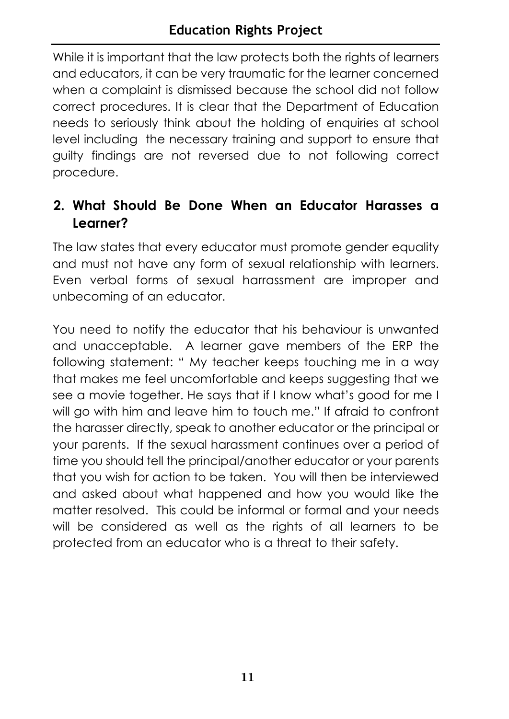While it is important that the law protects both the rights of learners and educators, it can be very traumatic for the learner concerned when a complaint is dismissed because the school did not follow correct procedures. It is clear that the Department of Education needs to seriously think about the holding of enquiries at school level including the necessary training and support to ensure that guilty findings are not reversed due to not following correct procedure.

### **2. What Should Be Done When an Educator Harasses a Learner?**

The law states that every educator must promote gender equality and must not have any form of sexual relationship with learners. Even verbal forms of sexual harrassment are improper and unbecoming of an educator.

You need to notify the educator that his behaviour is unwanted and unacceptable. A learner gave members of the ERP the following statement: " My teacher keeps touching me in a way that makes me feel uncomfortable and keeps suggesting that we see a movie together. He says that if I know what's good for me I will go with him and leave him to touch me." If afraid to confront the harasser directly, speak to another educator or the principal or your parents. If the sexual harassment continues over a period of time you should tell the principal/another educator or your parents that you wish for action to be taken. You will then be interviewed and asked about what happened and how you would like the matter resolved. This could be informal or formal and your needs will be considered as well as the rights of all learners to be protected from an educator who is a threat to their safety.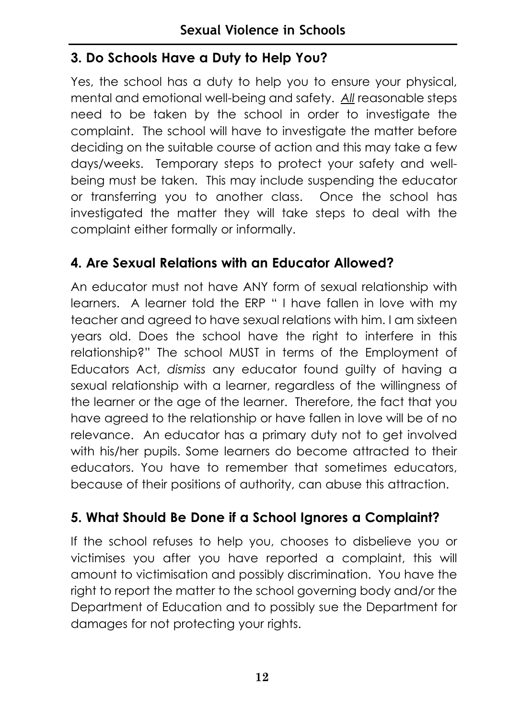### **3. Do Schools Have a Duty to Help You?**

Yes, the school has a duty to help you to ensure your physical, mental and emotional well-being and safety. *All* reasonable steps need to be taken by the school in order to investigate the complaint. The school will have to investigate the matter before deciding on the suitable course of action and this may take a few days/weeks. Temporary steps to protect your safety and wellbeing must be taken. This may include suspending the educator or transferring you to another class. Once the school has investigated the matter they will take steps to deal with the complaint either formally or informally.

### **4. Are Sexual Relations with an Educator Allowed?**

An educator must not have ANY form of sexual relationship with learners. A learner told the ERP " I have fallen in love with my teacher and agreed to have sexual relations with him. I am sixteen years old. Does the school have the right to interfere in this relationship?" The school MUST in terms of the Employment of Educators Act, *dismiss* any educator found guilty of having a sexual relationship with a learner, regardless of the willingness of the learner or the age of the learner. Therefore, the fact that you have agreed to the relationship or have fallen in love will be of no relevance. An educator has a primary duty not to get involved with his/her pupils. Some learners do become attracted to their educators. You have to remember that sometimes educators, because of their positions of authority, can abuse this attraction.

### **5. What Should Be Done if a School Ignores a Complaint?**

If the school refuses to help you, chooses to disbelieve you or victimises you after you have reported a complaint, this will amount to victimisation and possibly discrimination. You have the right to report the matter to the school governing body and/or the Department of Education and to possibly sue the Department for damages for not protecting your rights.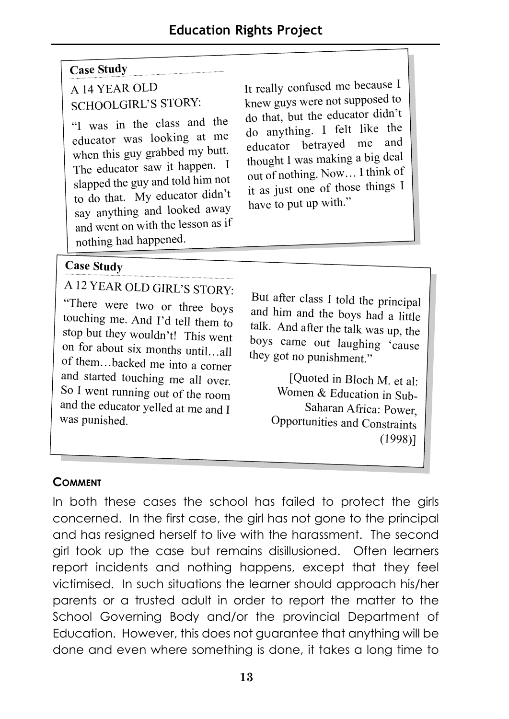### **Case Study**

### A 14 YEAR OLD SCHOOLGIRL'S STORY:

"I was in the class and the educator was looking at me when this guy grabbed my butt. The educator saw it happen. <sup>I</sup> slapped the guy and told him not to do that. My educator didn't say anything and looked away and went on with the lesson as if nothing had happened.

It really confused me because I knew guys were not supposed to do that, but the educator didn't do anything. I felt like the educator betrayed me and thought I was making a big deal out of nothing. Now… I think of it as just one of those things I have to put up with."

### **Case Study**

<sup>A</sup> 12 YEAR OLD GIRL'S STORY:

"There were two or three boys touching me. And I'd tell them to stop but they wouldn't! This went on for about six months until…all of them…backed me into a corner and started touching me all over. So I went running out of the room and the educator yelled at me and I was punished.

But after class I told the principal and him and the boys had a little talk. And after the talk was up, the boys came out laughing 'cause they got no punishment."

> [Ouoted in Bloch M. et al: Women & Education in Sub-Saharan Africa: Power, Opportunities and Constraints (1998)]

### **COMMENT**

In both these cases the school has failed to protect the girls concerned. In the first case, the girl has not gone to the principal and has resigned herself to live with the harassment. The second girl took up the case but remains disillusioned. Often learners report incidents and nothing happens, except that they feel victimised. In such situations the learner should approach his/her parents or a trusted adult in order to report the matter to the School Governing Body and/or the provincial Department of Education. However, this does not guarantee that anything will be done and even where something is done, it takes a long time to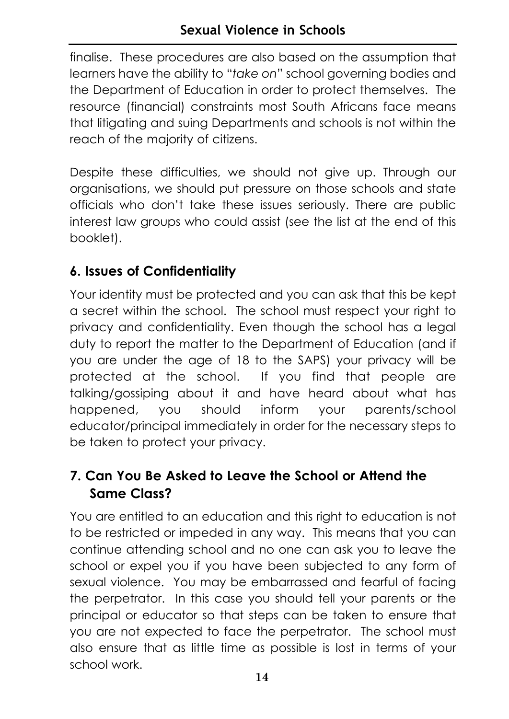finalise. These procedures are also based on the assumption that learners have the ability to "*take on*" school governing bodies and the Department of Education in order to protect themselves. The resource (financial) constraints most South Africans face means that litigating and suing Departments and schools is not within the reach of the majority of citizens.

Despite these difficulties, we should not give up. Through our organisations, we should put pressure on those schools and state officials who don't take these issues seriously. There are public interest law groups who could assist (see the list at the end of this booklet).

### **6. Issues of Confidentiality**

Your identity must be protected and you can ask that this be kept a secret within the school. The school must respect your right to privacy and confidentiality. Even though the school has a legal duty to report the matter to the Department of Education (and if you are under the age of 18 to the SAPS) your privacy will be protected at the school. If you find that people are talking/gossiping about it and have heard about what has happened, you should inform your parents/school educator/principal immediately in order for the necessary steps to be taken to protect your privacy.

### **7. Can You Be Asked to Leave the School or Attend the Same Class?**

You are entitled to an education and this right to education is not to be restricted or impeded in any way. This means that you can continue attending school and no one can ask you to leave the school or expel you if you have been subjected to any form of sexual violence. You may be embarrassed and fearful of facing the perpetrator. In this case you should tell your parents or the principal or educator so that steps can be taken to ensure that you are not expected to face the perpetrator. The school must also ensure that as little time as possible is lost in terms of your school work.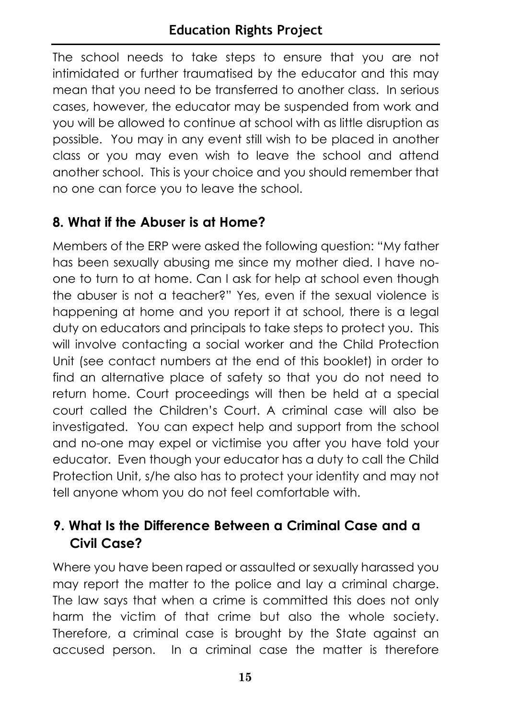The school needs to take steps to ensure that you are not intimidated or further traumatised by the educator and this may mean that you need to be transferred to another class. In serious cases, however, the educator may be suspended from work and you will be allowed to continue at school with as little disruption as possible. You may in any event still wish to be placed in another class or you may even wish to leave the school and attend another school. This is your choice and you should remember that no one can force you to leave the school.

### **8. What if the Abuser is at Home?**

Members of the ERP were asked the following question: "My father has been sexually abusing me since my mother died. I have noone to turn to at home. Can I ask for help at school even though the abuser is not a teacher?" Yes, even if the sexual violence is happening at home and you report it at school, there is a legal duty on educators and principals to take steps to protect you. This will involve contacting a social worker and the Child Protection Unit (see contact numbers at the end of this booklet) in order to find an alternative place of safety so that you do not need to return home. Court proceedings will then be held at a special court called the Children's Court. A criminal case will also be investigated. You can expect help and support from the school and no-one may expel or victimise you after you have told your educator. Even though your educator has a duty to call the Child Protection Unit, s/he also has to protect your identity and may not tell anyone whom you do not feel comfortable with.

### **9. What Is the Difference Between a Criminal Case and a Civil Case?**

Where you have been raped or assaulted or sexually harassed you may report the matter to the police and lay a criminal charge. The law says that when a crime is committed this does not only harm the victim of that crime but also the whole society. Therefore, a criminal case is brought by the State against an accused person. In a criminal case the matter is therefore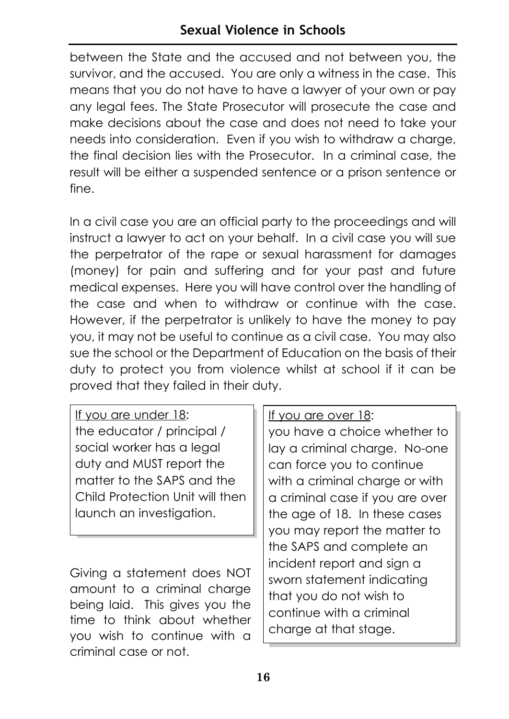between the State and the accused and not between you, the survivor, and the accused. You are only a witness in the case. This means that you do not have to have a lawyer of your own or pay any legal fees. The State Prosecutor will prosecute the case and make decisions about the case and does not need to take your needs into consideration. Even if you wish to withdraw a charge, the final decision lies with the Prosecutor. In a criminal case, the result will be either a suspended sentence or a prison sentence or fine.

In a civil case you are an official party to the proceedings and will instruct a lawyer to act on your behalf. In a civil case you will sue the perpetrator of the rape or sexual harassment for damages (money) for pain and suffering and for your past and future medical expenses. Here you will have control over the handling of the case and when to withdraw or continue with the case. However, if the perpetrator is unlikely to have the money to pay you, it may not be useful to continue as a civil case. You may also sue the school or the Department of Education on the basis of their duty to protect you from violence whilst at school if it can be proved that they failed in their duty.

| If you are under 18:            |
|---------------------------------|
| the educator / principal /      |
| social worker has a legal       |
| duty and MUST report the        |
| matter to the SAPS and the      |
| Child Protection Unit will then |
| launch an investigation.        |

Giving a statement does NOT amount to a criminal charge being laid. This gives you the time to think about whether you wish to continue with a criminal case or not.

If you are over 18:

you have a choice whether to lay a criminal charge. No-one can force you to continue with a criminal charge or with a criminal case if you are over the age of 18. In these cases you may report the matter to the SAPS and complete an incident report and sign a sworn statement indicating that you do not wish to continue with a criminal charge at that stage.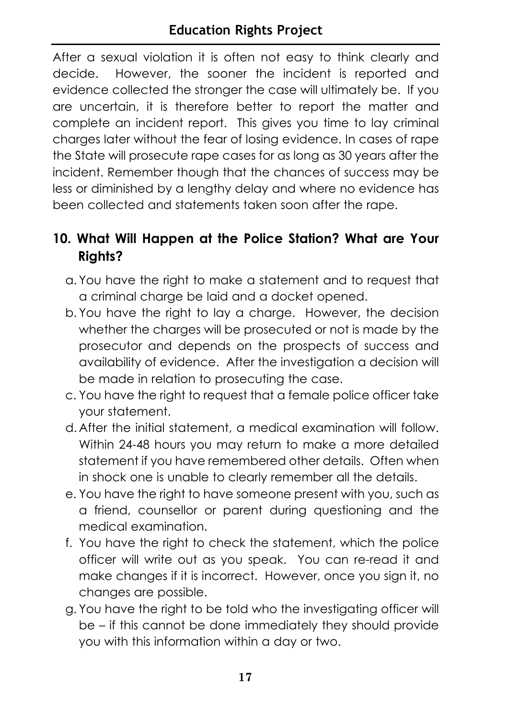After a sexual violation it is often not easy to think clearly and decide. However, the sooner the incident is reported and evidence collected the stronger the case will ultimately be. If you are uncertain, it is therefore better to report the matter and complete an incident report. This gives you time to lay criminal charges later without the fear of losing evidence. In cases of rape the State will prosecute rape cases for as long as 30 years after the incident. Remember though that the chances of success may be less or diminished by a lengthy delay and where no evidence has been collected and statements taken soon after the rape.

### **10. What Will Happen at the Police Station? What are Your Rights?**

- a. You have the right to make a statement and to request that a criminal charge be laid and a docket opened.
- b. You have the right to lay a charge. However, the decision whether the charges will be prosecuted or not is made by the prosecutor and depends on the prospects of success and availability of evidence. After the investigation a decision will be made in relation to prosecuting the case.
- c. You have the right to request that a female police officer take your statement.
- d. After the initial statement, a medical examination will follow. Within 24-48 hours you may return to make a more detailed statement if you have remembered other details. Often when in shock one is unable to clearly remember all the details.
- e. You have the right to have someone present with you, such as a friend, counsellor or parent during questioning and the medical examination.
- f. You have the right to check the statement, which the police officer will write out as you speak. You can re-read it and make changes if it is incorrect. However, once you sign it, no changes are possible.
- g. You have the right to be told who the investigating officer will be – if this cannot be done immediately they should provide you with this information within a day or two.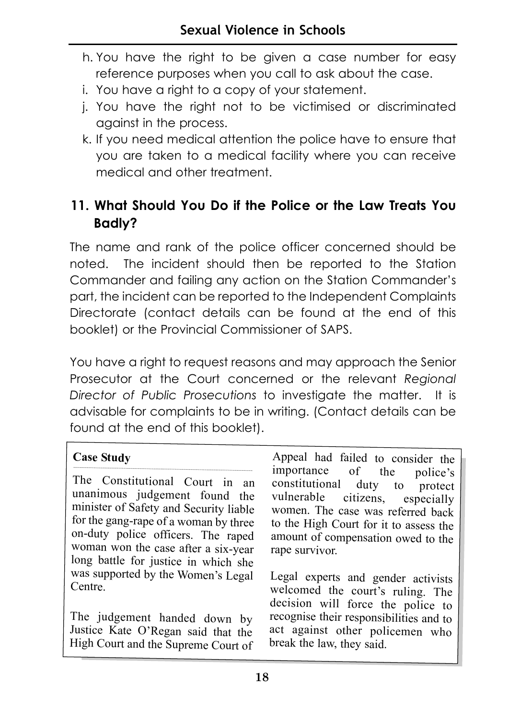- h. You have the right to be given a case number for easy reference purposes when you call to ask about the case.
- i. You have a right to a copy of your statement.
- j. You have the right not to be victimised or discriminated against in the process.
- k. If you need medical attention the police have to ensure that you are taken to a medical facility where you can receive medical and other treatment.

### **11. What Should You Do if the Police or the Law Treats You Badly?**

The name and rank of the police officer concerned should be noted. The incident should then be reported to the Station Commander and failing any action on the Station Commander's part, the incident can be reported to the Independent Complaints Directorate (contact details can be found at the end of this booklet) or the Provincial Commissioner of SAPS.

You have a right to request reasons and may approach the Senior Prosecutor at the Court concerned or the relevant *Regional Director of Public Prosecutions* to investigate the matter. It is advisable for complaints to be in writing. (Contact details can be found at the end of this booklet).

### **Case Study**

The Constitutional Court in an unanimous judgement found the minister of Safety and Security liable for the gang-rape of a woman by three on-duty police officers. The raped woman won the case after a six-year long battle for justice in which she was supported by the Women's Legal Centre.

The judgement handed down by Justice Kate O'Regan said that the High Court and the Supreme Court of

Appeal had failed to consider the importance of the police's<br>constitutional duty to protect duty to protect vulnerable citizens, especially women. The case was referred back to the High Court for it to assess the amount of compensation owed to the rape survivor.

Legal experts and gender activists welcomed the court's ruling. The decision will force the police to recognise their responsibilities and to act against other policemen who break the law, they said.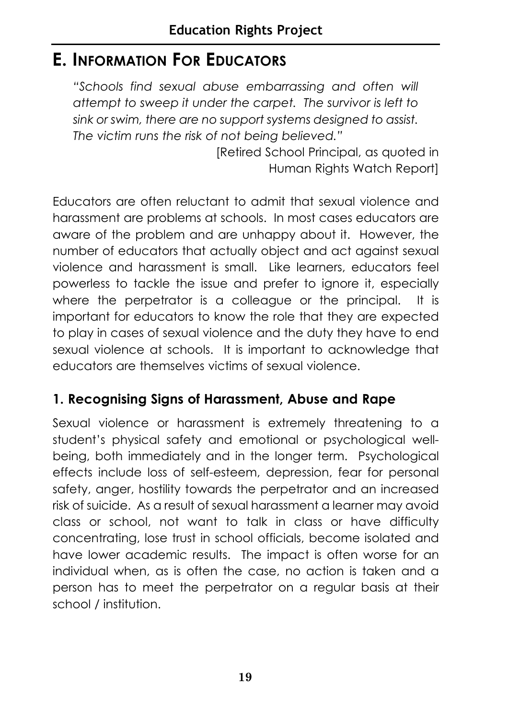### **E. INFORMATION FOR EDUCATORS**

*"Schools find sexual abuse embarrassing and often will attempt to sweep it under the carpet. The survivor is left to sink or swim, there are no support systems designed to assist. The victim runs the risk of not being believed."* 

> [Retired School Principal, as quoted in Human Rights Watch Report]

Educators are often reluctant to admit that sexual violence and harassment are problems at schools. In most cases educators are aware of the problem and are unhappy about it. However, the number of educators that actually object and act against sexual violence and harassment is small. Like learners, educators feel powerless to tackle the issue and prefer to ignore it, especially where the perpetrator is a colleague or the principal. It is important for educators to know the role that they are expected to play in cases of sexual violence and the duty they have to end sexual violence at schools. It is important to acknowledge that educators are themselves victims of sexual violence.

### **1. Recognising Signs of Harassment, Abuse and Rape**

Sexual violence or harassment is extremely threatening to a student's physical safety and emotional or psychological wellbeing, both immediately and in the longer term. Psychological effects include loss of self-esteem, depression, fear for personal safety, anger, hostility towards the perpetrator and an increased risk of suicide. As a result of sexual harassment a learner may avoid class or school, not want to talk in class or have difficulty concentrating, lose trust in school officials, become isolated and have lower academic results. The impact is often worse for an individual when, as is often the case, no action is taken and a person has to meet the perpetrator on a regular basis at their school / institution.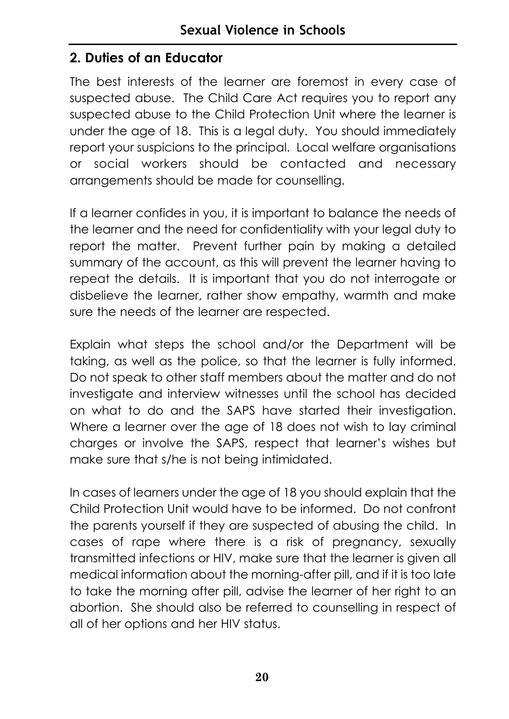### **2. Duties of an Educator**

The best interests of the learner are foremost in every case of suspected abuse. The Child Care Act requires you to report any suspected abuse to the Child Protection Unit where the learner is under the age of 18. This is a legal duty. You should immediately report your suspicions to the principal. Local welfare organisations or social workers should be contacted and necessary arrangements should be made for counselling.

If a learner confides in you, it is important to balance the needs of the learner and the need for confidentiality with your legal duty to report the matter. Prevent further pain by making a detailed summary of the account, as this will prevent the learner having to repeat the details. It is important that you do not interrogate or disbelieve the learner, rather show empathy, warmth and make sure the needs of the learner are respected.

Explain what steps the school and/or the Department will be taking, as well as the police, so that the learner is fully informed. Do not speak to other staff members about the matter and do not investigate and interview witnesses until the school has decided on what to do and the SAPS have started their investigation. Where a learner over the age of 18 does not wish to lay criminal charges or involve the SAPS, respect that learner's wishes but make sure that s/he is not being intimidated.

In cases of learners under the age of 18 you should explain that the Child Protection Unit would have to be informed. Do not confront the parents yourself if they are suspected of abusing the child. In cases of rape where there is a risk of pregnancy, sexually transmitted infections or HIV, make sure that the learner is given all medical information about the morning-after pill, and if it is too late to take the morning after pill, advise the learner of her right to an abortion. She should also be referred to counselling in respect of all of her options and her HIV status.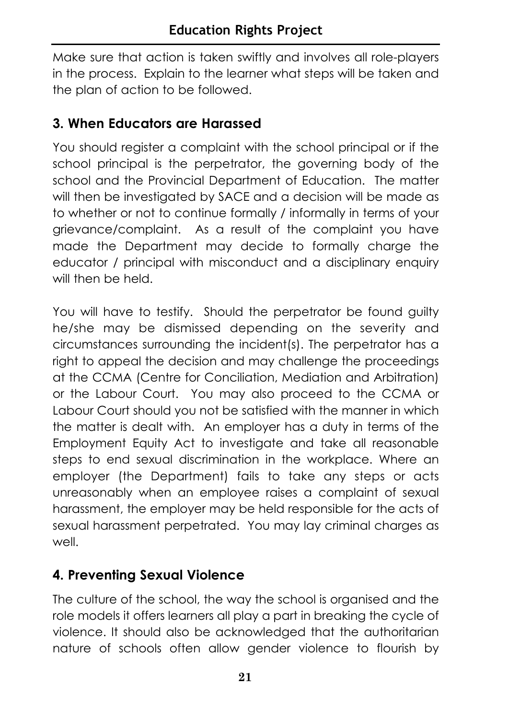Make sure that action is taken swiftly and involves all role-players in the process. Explain to the learner what steps will be taken and the plan of action to be followed.

### **3. When Educators are Harassed**

You should register a complaint with the school principal or if the school principal is the perpetrator, the governing body of the school and the Provincial Department of Education. The matter will then be investigated by SACE and a decision will be made as to whether or not to continue formally / informally in terms of your grievance/complaint. As a result of the complaint you have made the Department may decide to formally charge the educator / principal with misconduct and a disciplinary enquiry will then be held.

You will have to testify. Should the perpetrator be found guilty he/she may be dismissed depending on the severity and circumstances surrounding the incident(s). The perpetrator has a right to appeal the decision and may challenge the proceedings at the CCMA (Centre for Conciliation, Mediation and Arbitration) or the Labour Court. You may also proceed to the CCMA or Labour Court should you not be satisfied with the manner in which the matter is dealt with. An employer has a duty in terms of the Employment Equity Act to investigate and take all reasonable steps to end sexual discrimination in the workplace. Where an employer (the Department) fails to take any steps or acts unreasonably when an employee raises a complaint of sexual harassment, the employer may be held responsible for the acts of sexual harassment perpetrated. You may lay criminal charges as well.

### **4. Preventing Sexual Violence**

The culture of the school, the way the school is organised and the role models it offers learners all play a part in breaking the cycle of violence. It should also be acknowledged that the authoritarian nature of schools often allow gender violence to flourish by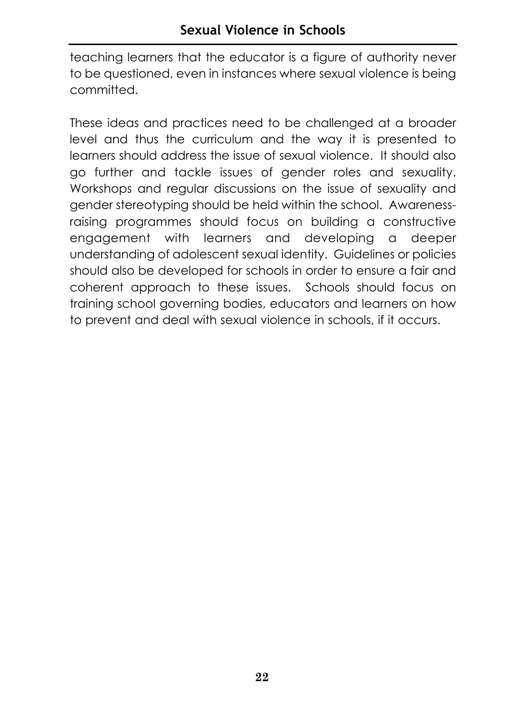teaching learners that the educator is a figure of authority never to be questioned, even in instances where sexual violence is being committed.

These ideas and practices need to be challenged at a broader level and thus the curriculum and the way it is presented to learners should address the issue of sexual violence. It should also go further and tackle issues of gender roles and sexuality. Workshops and regular discussions on the issue of sexuality and gender stereotyping should be held within the school. Awarenessraising programmes should focus on building a constructive engagement with learners and developing a deeper understanding of adolescent sexual identity. Guidelines or policies should also be developed for schools in order to ensure a fair and coherent approach to these issues. Schools should focus on training school governing bodies, educators and learners on how to prevent and deal with sexual violence in schools, if it occurs.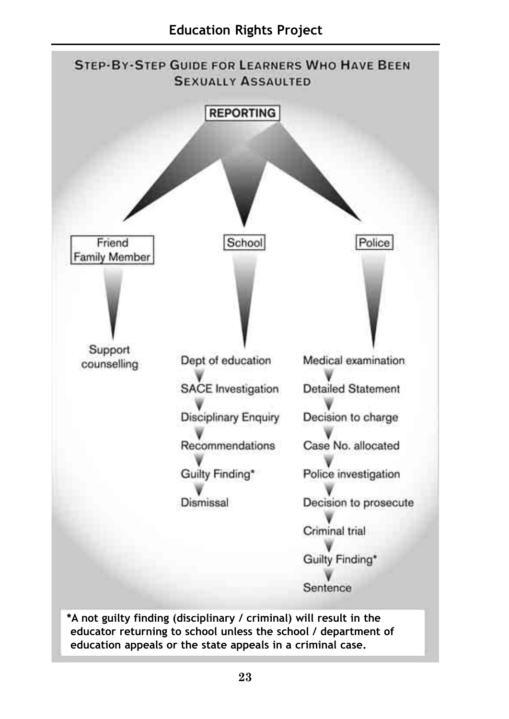

**\*A not guilty finding (disciplinary / criminal) will result in the educator returning to school unless the school / department of education appeals or the state appeals in a criminal case.**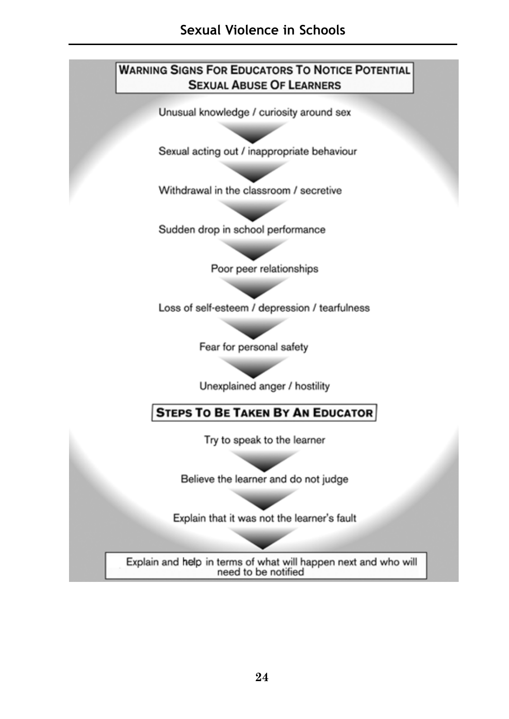### **WARNING SIGNS FOR EDUCATORS TO NOTICE POTENTIAL SEXUAL ABUSE OF LEARNERS**

Unusual knowledge / curiosity around sex

Sexual acting out / inappropriate behaviour

Withdrawal in the classroom / secretive

Sudden drop in school performance

Poor peer relationships

Loss of self-esteem / depression / tearfulness

Fear for personal safety

Unexplained anger / hostility

**STEPS TO BE TAKEN BY AN EDUCATOR** 

Try to speak to the learner

Believe the learner and do not judge

Explain that it was not the learner's fault

Explain and help in terms of what will happen next and who will need to be notified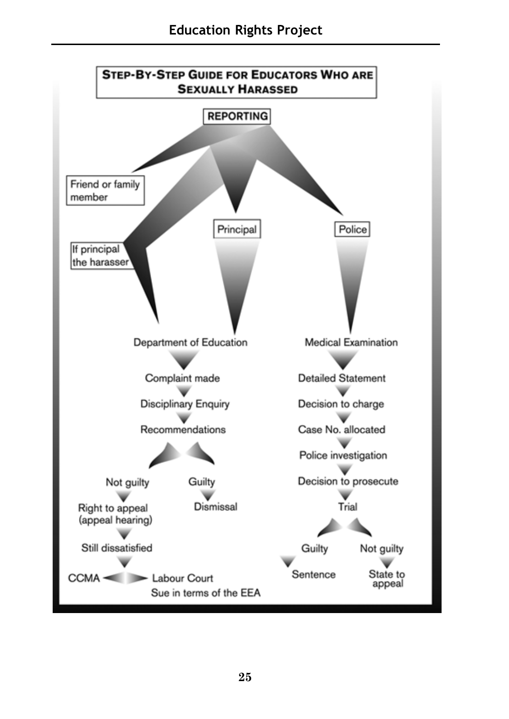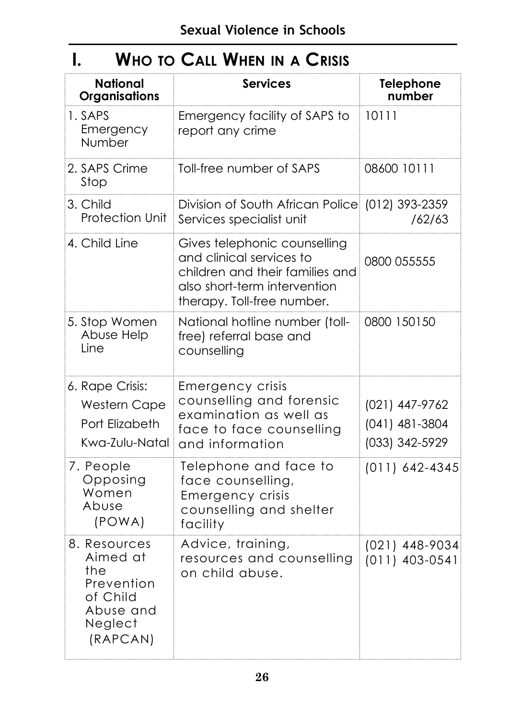### **I. WHO TO CALL WHEN IN A CRISIS**

| <b>National</b><br><b>Organisations</b>                                                       | <b>Services</b>                                                                                                                                           | <b>Telephone</b><br>number                           |
|-----------------------------------------------------------------------------------------------|-----------------------------------------------------------------------------------------------------------------------------------------------------------|------------------------------------------------------|
| 1. SAPS<br>Emergency<br>Number                                                                | Emergency facility of SAPS to<br>report any crime                                                                                                         | 10111                                                |
| 2. SAPS Crime<br>Stop                                                                         | Toll-free number of SAPS                                                                                                                                  | 08600 10111                                          |
| 3. Child<br><b>Protection Unit</b>                                                            | Division of South African Police (012) 393-2359<br>Services specialist unit                                                                               | /62/63                                               |
| 4. Child Line                                                                                 | Gives telephonic counselling<br>and clinical services to<br>children and their families and<br>also short-term intervention<br>therapy. Toll-free number. | 0800 055555                                          |
| 5. Stop Women<br>Abuse Help<br>Line                                                           | National hotline number (toll-<br>free) referral base and<br>counselling                                                                                  | 0800 150150                                          |
| 6. Rape Crisis:<br><b>Western Cape</b><br>Port Elizabeth<br>Kwa-Zulu-Natal                    | Emergency crisis<br>counselling and forensic<br>examination as well as<br>face to face counselling<br>and information                                     | (021) 447-9762<br>$(041)$ 481-3804<br>(033) 342-5929 |
| 7. People<br>Opposing<br>Women<br>Abuse<br>(POWA)                                             | Telephone and face to<br>face counselling,<br><b>Emergency crisis</b><br>counselling and shelter<br>facility                                              | $(011)$ 642-4345                                     |
| 8. Resources<br>Aimed at<br>the<br>Prevention<br>of Child<br>Abuse and<br>Neglect<br>(RAPCAN) | Advice, training,<br>resources and counselling<br>on child abuse.                                                                                         | $(021)$ 448-9034<br>$(011)$ 403-0541                 |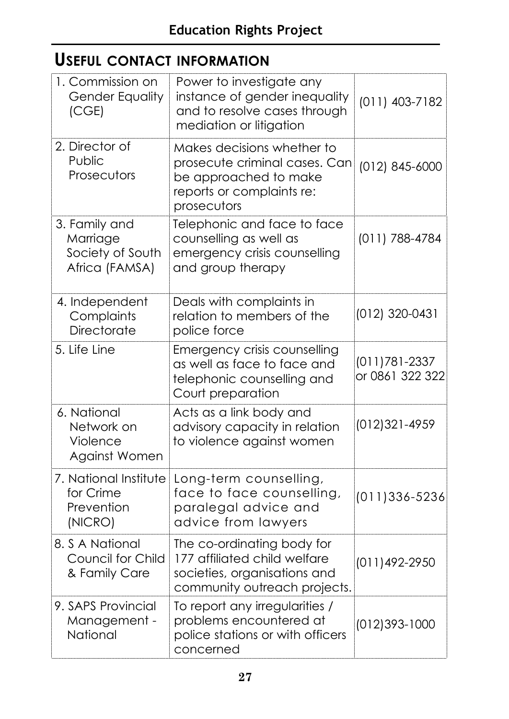### **USEFUL CONTACT INFORMATION**

| 1. Commission on<br><b>Gender Equality</b><br>(CGE)             | Power to investigate any<br>instance of gender inequality<br>and to resolve cases through<br>mediation or litigation             | $(011)$ 403-7182                 |
|-----------------------------------------------------------------|----------------------------------------------------------------------------------------------------------------------------------|----------------------------------|
| 2. Director of<br>Public<br>Prosecutors                         | Makes decisions whether to<br>prosecute criminal cases. Can<br>be approached to make<br>reports or complaints re:<br>prosecutors | (012) 845-6000                   |
| 3. Family and<br>Marriage<br>Society of South<br>Africa (FAMSA) | Telephonic and face to face<br>counselling as well as<br>emergency crisis counselling<br>and group therapy                       | (011) 788-4784                   |
| 4. Independent<br>Complaints<br>Directorate                     | Deals with complaints in<br>relation to members of the<br>police force                                                           | (012) 320-0431                   |
| 5. Life Line                                                    | Emergency crisis counselling<br>as well as face to face and<br>telephonic counselling and<br>Court preparation                   | (011)781-2337<br>or 0861 322 322 |
| 6. National<br>Network on<br>Violence<br>Against Women          | Acts as a link body and<br>advisory capacity in relation<br>to violence against women                                            | (012)321-4959                    |
| 7. National Institute<br>for Crime<br>Prevention<br>(NICRO)     | Long-term counselling,<br>face to face counselling,<br>paralegal advice and<br>advice from lawyers                               | $(011)336 - 5236$                |
| 8. S A National<br>Council for Child<br>& Family Care           | The co-ordinating body for<br>177 affiliated child welfare<br>societies, organisations and<br>community outreach projects.       | (011)492-2950                    |
| 9. SAPS Provincial<br>Management -<br>National                  | To report any irregularities /<br>problems encountered at<br>police stations or with officers<br>concerned                       | (012)393-1000                    |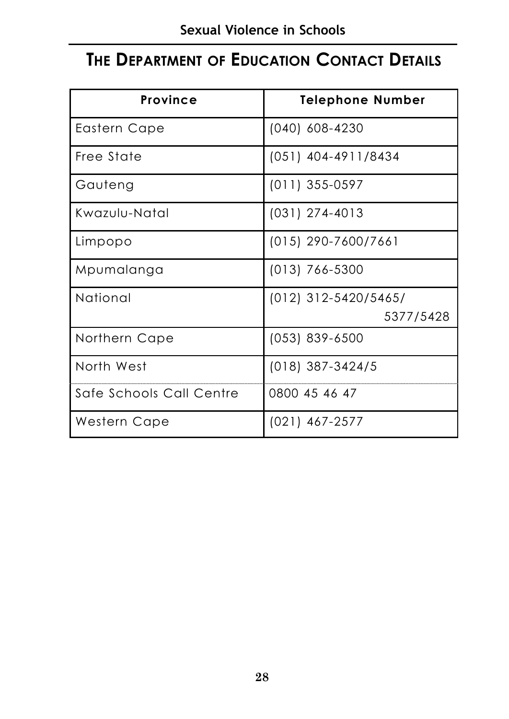### **THE DEPARTMENT OF EDUCATION CONTACT DETAILS**

| <b>Province</b>          | <b>Telephone Number</b> |
|--------------------------|-------------------------|
| Eastern Cape             | $(040)$ 608-4230        |
| Free State               | $(051)$ 404-4911/8434   |
| Gauteng                  | $(011)$ 355-0597        |
| Kwazulu-Natal            | $(031)$ 274-4013        |
| Limpopo                  | $(015)$ 290-7600/7661   |
| Mpumalanga               | $(013) 766 - 5300$      |
| National                 | $(012)$ 312-5420/5465/  |
|                          | 5377/5428               |
| Northern Cape            | $(053)$ 839-6500        |
| North West               | $(018)$ 387-3424/5      |
| Safe Schools Call Centre | 0800 45 46 47           |
| Western Cape             | $(021)$ 467-2577        |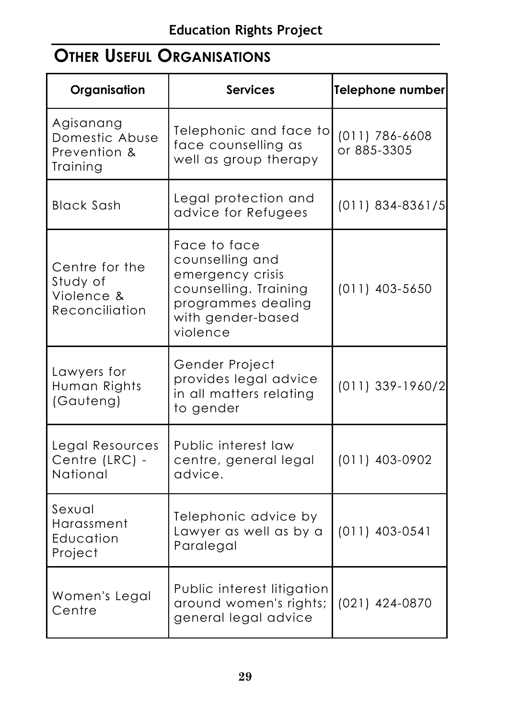### **OTHER USEFUL ORGANISATIONS**

| Organisation                                               | <b>Services</b>                                                                                                                     | <b>Telephone number</b>           |
|------------------------------------------------------------|-------------------------------------------------------------------------------------------------------------------------------------|-----------------------------------|
| Agisanang<br>Domestic Abuse<br>Prevention &<br>Training    | Telephonic and face to<br>face counselling as<br>well as group therapy                                                              | $(011) 786 - 6608$<br>or 885-3305 |
| <b>Black Sash</b>                                          | Legal protection and<br>advice for Refugees                                                                                         | $(011)$ 834-8361/5                |
| Centre for the<br>Study of<br>Violence &<br>Reconciliation | Face to face<br>counselling and<br>emergency crisis<br>counselling. Training<br>programmes dealing<br>with gender-based<br>violence | $(011)$ 403-5650                  |
| Lawyers for<br>Human Rights<br>(Gauteng)                   | Gender Project<br>provides legal advice<br>in all matters relating<br>to gender                                                     | (011) 339-1960/2                  |
| Legal Resources<br>Centre (LRC) -<br>National              | Public interest law<br>centre, general legal<br>advice.                                                                             | $(011)$ 403-0902                  |
| Sexual<br>Harassment<br>Education<br>Project               | Telephonic advice by<br>Lawyer as well as by a<br>Paralegal                                                                         | $(011)$ 403-0541                  |
| Women's Legal<br>Centre                                    | Public interest litigation<br>around women's rights;<br>general legal advice                                                        | (021) 424-0870                    |